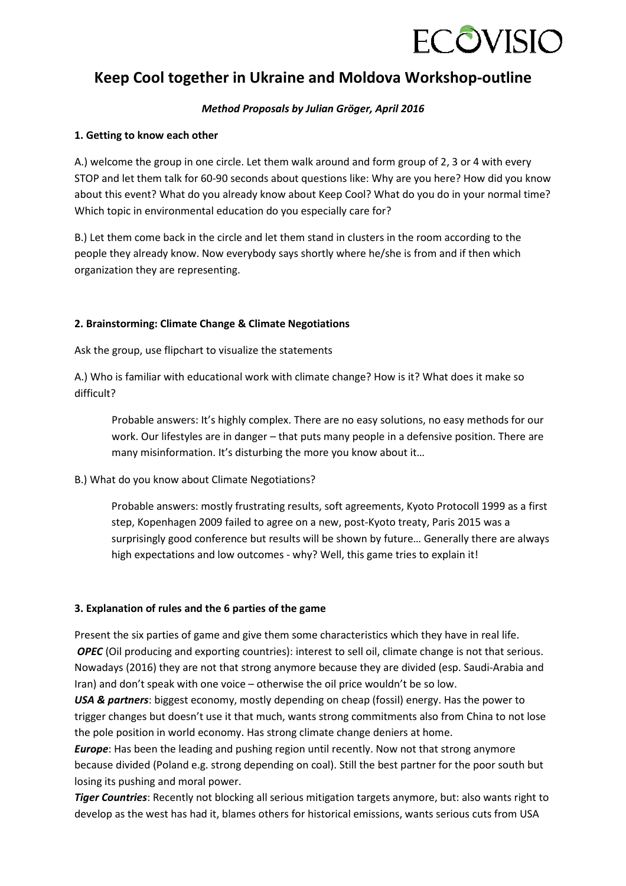

# **Keep Cool together in Ukraine and Moldova Workshop-outline**

# *Method Proposals by Julian Gröger, April 2016*

# **1. Getting to know each other**

A.) welcome the group in one circle. Let them walk around and form group of 2, 3 or 4 with every STOP and let them talk for 60-90 seconds about questions like: Why are you here? How did you know about this event? What do you already know about Keep Cool? What do you do in your normal time? Which topic in environmental education do you especially care for?

B.) Let them come back in the circle and let them stand in clusters in the room according to the people they already know. Now everybody says shortly where he/she is from and if then which organization they are representing.

# **2. Brainstorming: Climate Change & Climate Negotiations**

Ask the group, use flipchart to visualize the statements

A.) Who is familiar with educational work with climate change? How is it? What does it make so difficult?

Probable answers: It's highly complex. There are no easy solutions, no easy methods for our work. Our lifestyles are in danger – that puts many people in a defensive position. There are many misinformation. It's disturbing the more you know about it…

#### B.) What do you know about Climate Negotiations?

Probable answers: mostly frustrating results, soft agreements, Kyoto Protocoll 1999 as a first step, Kopenhagen 2009 failed to agree on a new, post-Kyoto treaty, Paris 2015 was a surprisingly good conference but results will be shown by future… Generally there are always high expectations and low outcomes - why? Well, this game tries to explain it!

#### **3. Explanation of rules and the 6 parties of the game**

Present the six parties of game and give them some characteristics which they have in real life. *OPEC* (Oil producing and exporting countries): interest to sell oil, climate change is not that serious. Nowadays (2016) they are not that strong anymore because they are divided (esp. Saudi-Arabia and Iran) and don't speak with one voice – otherwise the oil price wouldn't be so low.

*USA & partners*: biggest economy, mostly depending on cheap (fossil) energy. Has the power to trigger changes but doesn't use it that much, wants strong commitments also from China to not lose the pole position in world economy. Has strong climate change deniers at home.

*Europe*: Has been the leading and pushing region until recently. Now not that strong anymore because divided (Poland e.g. strong depending on coal). Still the best partner for the poor south but losing its pushing and moral power.

*Tiger Countries*: Recently not blocking all serious mitigation targets anymore, but: also wants right to develop as the west has had it, blames others for historical emissions, wants serious cuts from USA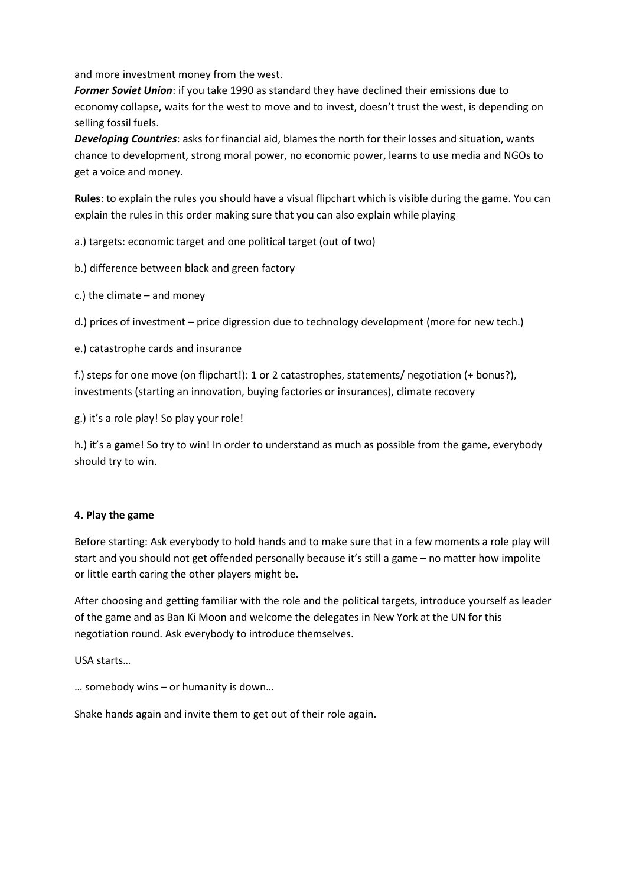and more investment money from the west.

*Former Soviet Union*: if you take 1990 as standard they have declined their emissions due to economy collapse, waits for the west to move and to invest, doesn't trust the west, is depending on selling fossil fuels.

*Developing Countries*: asks for financial aid, blames the north for their losses and situation, wants chance to development, strong moral power, no economic power, learns to use media and NGOs to get a voice and money.

**Rules**: to explain the rules you should have a visual flipchart which is visible during the game. You can explain the rules in this order making sure that you can also explain while playing

a.) targets: economic target and one political target (out of two)

b.) difference between black and green factory

c.) the climate – and money

d.) prices of investment – price digression due to technology development (more for new tech.)

e.) catastrophe cards and insurance

f.) steps for one move (on flipchart!): 1 or 2 catastrophes, statements/ negotiation (+ bonus?), investments (starting an innovation, buying factories or insurances), climate recovery

g.) it's a role play! So play your role!

h.) it's a game! So try to win! In order to understand as much as possible from the game, everybody should try to win.

#### **4. Play the game**

Before starting: Ask everybody to hold hands and to make sure that in a few moments a role play will start and you should not get offended personally because it's still a game – no matter how impolite or little earth caring the other players might be.

After choosing and getting familiar with the role and the political targets, introduce yourself as leader of the game and as Ban Ki Moon and welcome the delegates in New York at the UN for this negotiation round. Ask everybody to introduce themselves.

USA starts…

… somebody wins – or humanity is down…

Shake hands again and invite them to get out of their role again.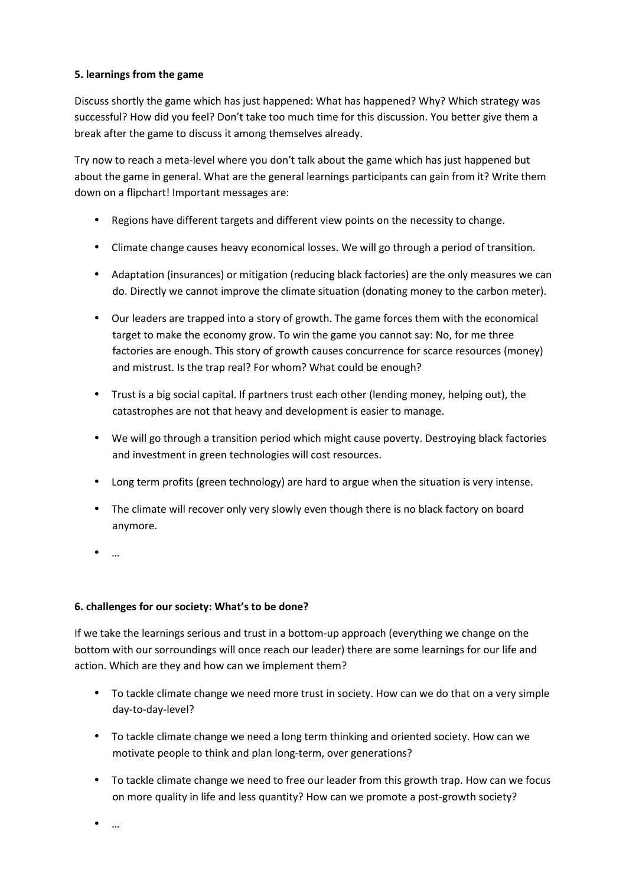# **5. learnings from the game**

Discuss shortly the game which has just happened: What has happened? Why? Which strategy was successful? How did you feel? Don't take too much time for this discussion. You better give them a break after the game to discuss it among themselves already.

Try now to reach a meta-level where you don't talk about the game which has just happened but about the game in general. What are the general learnings participants can gain from it? Write them down on a flipchart! Important messages are:

- Regions have different targets and different view points on the necessity to change.
- Climate change causes heavy economical losses. We will go through a period of transition.
- Adaptation (insurances) or mitigation (reducing black factories) are the only measures we can do. Directly we cannot improve the climate situation (donating money to the carbon meter).
- Our leaders are trapped into a story of growth. The game forces them with the economical target to make the economy grow. To win the game you cannot say: No, for me three factories are enough. This story of growth causes concurrence for scarce resources (money) and mistrust. Is the trap real? For whom? What could be enough?
- Trust is a big social capital. If partners trust each other (lending money, helping out), the catastrophes are not that heavy and development is easier to manage.
- We will go through a transition period which might cause poverty. Destroying black factories and investment in green technologies will cost resources.
- Long term profits (green technology) are hard to argue when the situation is very intense.
- The climate will recover only very slowly even though there is no black factory on board anymore.
- …

# **6. challenges for our society: What's to be done?**

If we take the learnings serious and trust in a bottom-up approach (everything we change on the bottom with our sorroundings will once reach our leader) there are some learnings for our life and action. Which are they and how can we implement them?

- To tackle climate change we need more trust in society. How can we do that on a very simple day-to-day-level?
- To tackle climate change we need a long term thinking and oriented society. How can we motivate people to think and plan long-term, over generations?
- To tackle climate change we need to free our leader from this growth trap. How can we focus on more quality in life and less quantity? How can we promote a post-growth society?

• …